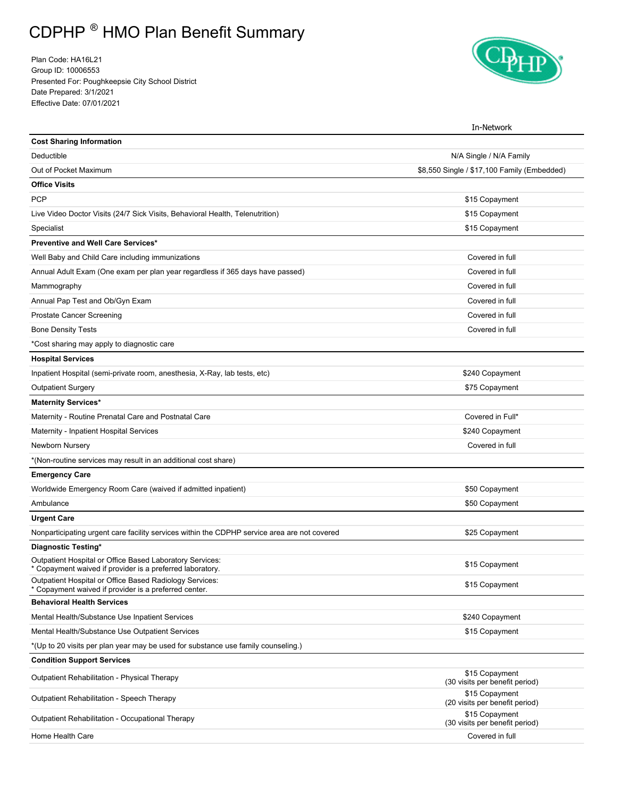## CDPHP ® HMO Plan Benefit Summary

Plan Code: HA16L21 Group ID: 10006553 Presented For: Poughkeepsie City School District Date Prepared: 3/1/2021 Effective Date: 07/01/2021



|                                                                                                                       | In-Network                                       |  |
|-----------------------------------------------------------------------------------------------------------------------|--------------------------------------------------|--|
| <b>Cost Sharing Information</b>                                                                                       |                                                  |  |
| Deductible                                                                                                            | N/A Single / N/A Family                          |  |
| Out of Pocket Maximum                                                                                                 | \$8,550 Single / \$17,100 Family (Embedded)      |  |
| <b>Office Visits</b>                                                                                                  |                                                  |  |
| <b>PCP</b>                                                                                                            | \$15 Copayment                                   |  |
| Live Video Doctor Visits (24/7 Sick Visits, Behavioral Health, Telenutrition)                                         | \$15 Copayment                                   |  |
| Specialist                                                                                                            | \$15 Copayment                                   |  |
| Preventive and Well Care Services*                                                                                    |                                                  |  |
| Well Baby and Child Care including immunizations                                                                      | Covered in full                                  |  |
| Annual Adult Exam (One exam per plan year regardless if 365 days have passed)                                         | Covered in full                                  |  |
| Mammography                                                                                                           | Covered in full                                  |  |
| Annual Pap Test and Ob/Gyn Exam                                                                                       | Covered in full                                  |  |
| <b>Prostate Cancer Screening</b>                                                                                      | Covered in full                                  |  |
| <b>Bone Density Tests</b>                                                                                             | Covered in full                                  |  |
| *Cost sharing may apply to diagnostic care                                                                            |                                                  |  |
| <b>Hospital Services</b>                                                                                              |                                                  |  |
| Inpatient Hospital (semi-private room, anesthesia, X-Ray, lab tests, etc)                                             | \$240 Copayment                                  |  |
| <b>Outpatient Surgery</b>                                                                                             | \$75 Copayment                                   |  |
| <b>Maternity Services*</b>                                                                                            |                                                  |  |
| Maternity - Routine Prenatal Care and Postnatal Care                                                                  | Covered in Full*                                 |  |
| Maternity - Inpatient Hospital Services                                                                               | \$240 Copayment                                  |  |
| Newborn Nursery                                                                                                       | Covered in full                                  |  |
| *(Non-routine services may result in an additional cost share)                                                        |                                                  |  |
| <b>Emergency Care</b>                                                                                                 |                                                  |  |
| Worldwide Emergency Room Care (waived if admitted inpatient)                                                          | \$50 Copayment                                   |  |
| Ambulance                                                                                                             | \$50 Copayment                                   |  |
| <b>Urgent Care</b>                                                                                                    |                                                  |  |
| Nonparticipating urgent care facility services within the CDPHP service area are not covered                          | \$25 Copayment                                   |  |
| Diagnostic Testing*                                                                                                   |                                                  |  |
| Outpatient Hospital or Office Based Laboratory Services:<br>* Copayment waived if provider is a preferred laboratory. | \$15 Copayment                                   |  |
| Outpatient Hospital or Office Based Radiology Services:<br>* Copayment waived if provider is a preferred center.      | \$15 Copayment                                   |  |
| <b>Behavioral Health Services</b>                                                                                     |                                                  |  |
| Mental Health/Substance Use Inpatient Services                                                                        | \$240 Copayment                                  |  |
| Mental Health/Substance Use Outpatient Services                                                                       | \$15 Copayment                                   |  |
| *(Up to 20 visits per plan year may be used for substance use family counseling.)                                     |                                                  |  |
| <b>Condition Support Services</b>                                                                                     |                                                  |  |
| Outpatient Rehabilitation - Physical Therapy                                                                          | \$15 Copayment<br>(30 visits per benefit period) |  |
| Outpatient Rehabilitation - Speech Therapy                                                                            | \$15 Copayment<br>(20 visits per benefit period) |  |
| Outpatient Rehabilitation - Occupational Therapy                                                                      | \$15 Copayment<br>(30 visits per benefit period) |  |
| Home Health Care                                                                                                      | Covered in full                                  |  |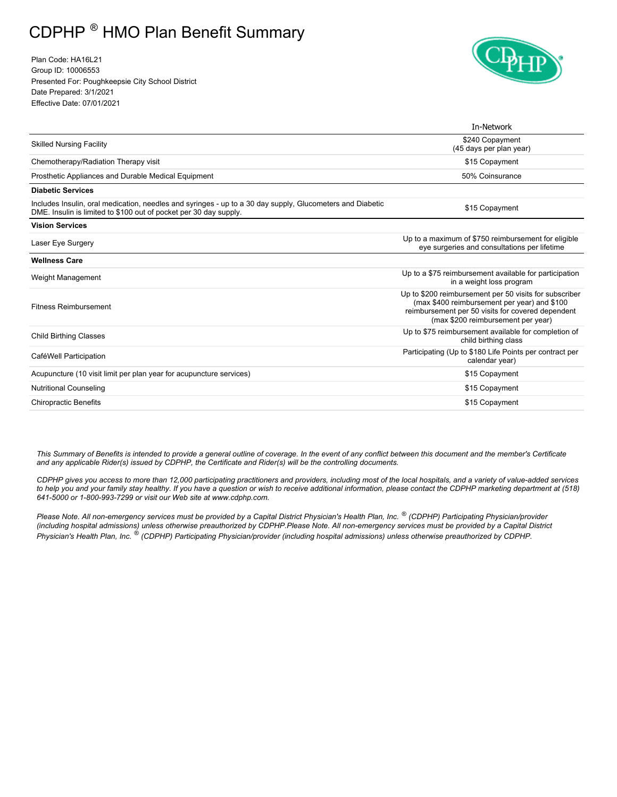## CDPHP ® HMO Plan Benefit Summary

Plan Code: HA16L21 Group ID: 10006553 Presented For: Poughkeepsie City School District Date Prepared: 3/1/2021 Effective Date: 07/01/2021



|                                                                                                                                                                                | In-Network                                                                                                                                                                                        |  |
|--------------------------------------------------------------------------------------------------------------------------------------------------------------------------------|---------------------------------------------------------------------------------------------------------------------------------------------------------------------------------------------------|--|
| <b>Skilled Nursing Facility</b>                                                                                                                                                | \$240 Copayment<br>(45 days per plan year)                                                                                                                                                        |  |
| Chemotherapy/Radiation Therapy visit                                                                                                                                           | \$15 Copayment                                                                                                                                                                                    |  |
| Prosthetic Appliances and Durable Medical Equipment                                                                                                                            | 50% Coinsurance                                                                                                                                                                                   |  |
| <b>Diabetic Services</b>                                                                                                                                                       |                                                                                                                                                                                                   |  |
| Includes Insulin, oral medication, needles and syringes - up to a 30 day supply, Glucometers and Diabetic<br>DME. Insulin is limited to \$100 out of pocket per 30 day supply. | \$15 Copayment                                                                                                                                                                                    |  |
| <b>Vision Services</b>                                                                                                                                                         |                                                                                                                                                                                                   |  |
| Laser Eye Surgery                                                                                                                                                              | Up to a maximum of \$750 reimbursement for eligible<br>eye surgeries and consultations per lifetime                                                                                               |  |
| <b>Wellness Care</b>                                                                                                                                                           |                                                                                                                                                                                                   |  |
| Weight Management                                                                                                                                                              | Up to a \$75 reimbursement available for participation<br>in a weight loss program                                                                                                                |  |
| <b>Fitness Reimbursement</b>                                                                                                                                                   | Up to \$200 reimbursement per 50 visits for subscriber<br>(max \$400 reimbursement per year) and \$100<br>reimbursement per 50 visits for covered dependent<br>(max \$200 reimbursement per year) |  |
| <b>Child Birthing Classes</b>                                                                                                                                                  | Up to \$75 reimbursement available for completion of<br>child birthing class                                                                                                                      |  |
| Participating (Up to \$180 Life Points per contract per<br>CaféWell Participation<br>calendar year)                                                                            |                                                                                                                                                                                                   |  |
| Acupuncture (10 visit limit per plan year for acupuncture services)                                                                                                            | \$15 Copayment                                                                                                                                                                                    |  |
| <b>Nutritional Counseling</b>                                                                                                                                                  | \$15 Copayment                                                                                                                                                                                    |  |
| <b>Chiropractic Benefits</b><br>\$15 Copayment                                                                                                                                 |                                                                                                                                                                                                   |  |

*This Summary of Benefits is intended to provide a general outline of coverage. In the event of any conflict between this document and the member's Certificate and any applicable Rider(s) issued by CDPHP, the Certificate and Rider(s) will be the controlling documents.* 

 *CDPHP gives you access to more than 12,000 participating practitioners and providers, including most of the local hospitals, and a variety of value-added services to help you and your family stay healthy. If you have a question or wish to receive additional information, please contact the CDPHP marketing department at (518) 641-5000 or 1-800-993-7299 or visit our Web site at www.cdphp.com.* 

 *Please Note. All non-emergency services must be provided by a Capital District Physician's Health Plan, Inc. ® (CDPHP) Participating Physician/provider (including hospital admissions) unless otherwise preauthorized by CDPHP.Please Note. All non-emergency services must be provided by a Capital District Physician's Health Plan, Inc. ® (CDPHP) Participating Physician/provider (including hospital admissions) unless otherwise preauthorized by CDPHP.*